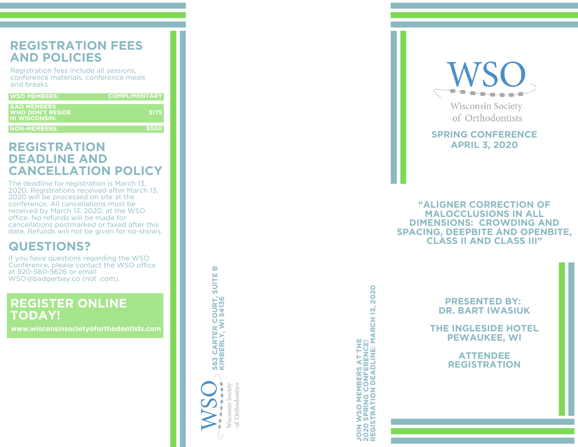# **REGISTRATION FEES A N D P O LICIE S**

Registration fees include all sessions, Registration fees include all sessions,<br>conference materials, conference meals a n d bre a k s

| <b>WSO MEMBERS:</b>                                            | <b>COMPLIMENTARY</b> |
|----------------------------------------------------------------|----------------------|
| <b>AAO MEMBERS</b><br><b>WHO DON'T RESIDE</b><br>IN WISCONSIN: | \$175                |
| <b>NON-MEMBERS:</b>                                            | \$500                |

The deadline for registration is March 13 **REGISTRATION<br>
DEADLINE AND<br>
CANCELLATION POLICY**<br>
The deadline for registration is March 13,<br>
2020. Registrations received after March 13,<br>
2020 will be processed on site at the<br>
conference. All cancellations must be<br>
rec

**GUESTIONS?**<br>If you have questions regarding the WSO<br>Conference, please contact the WSO office<br>at 920-560-5626 or email<br>WSO@badgerbay.co (not .com).

# **REGISTER ONLINE TODAY!**

**www.wisconsinsocietyoforthodontists.com**

**56 3 CARTER COURT, SUITE B KIMBERLY, WI 54136**

Wisconsin Society of Orthodontists

2020 **REGISTRATION DEADLINE: MARCH 13, 2020 JOIN WSO MEMBERS AT THE 2020 SPRING CONFERENCE!**



**SPRING CONFERENCE A P RIL 3, 2 0 2 0**

**" A LIG N E R C O R R E C TIO N O F MALOCCLUSIONS IN ALL DIMENSIONS: CROWDING AND SPACING, DEEPBITE AND OPENBITE,<br>CLASS II AND CLASS III"** 

**PRESENTED BY: DR. BART IWASIUK**

**THE INGLESIDE HOTEL PEWAUKEE, WI**

**ATTENDEE REGISTRATION**